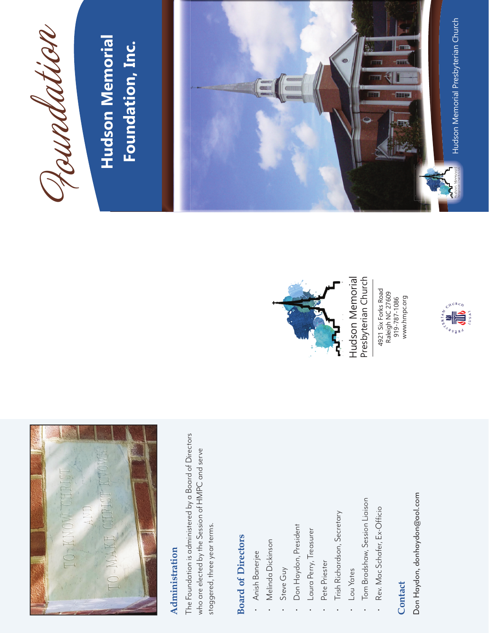

### **Administration Administration**

The Foundation is administered by a Board of Directors The Foundation is administered by a Board of Directors who are elected by the Session of HMPC and serve who are elected by the Session of HMPC and serve staggered, three year terms. staggered, three year terms.

### **Board of Directors Board of Directors**

- Anish Banerjee • Anish Banerjee
- Melinda Dickinson • Melinda Dickinson
- Steve Guy • Steve Guy
- Don Haydon, President • Don Haydon, President
- Laura Perry, Treasurer • Laura Perry, Treasurer
	- Pete Priester • Pete Priester
- Trish Richardson, Secretary • Trish Richardson, Secretary
- Lou Yates • Lou Yates
- Tom Bradshaw, Session Liaison • Tom Bradshaw, Session Liaison
- Rev. Mac Schafer, Ex-Officio • Rev. Mac Schafer, Ex-Officio

### **Contact**

Don Haydon, donhaydon@aol.com Don Haydon, donhaydon@aol.com



Hudson Memorial Hudson Memorial Presbyterian Church Presbyterian Church

4921 Six Forks Road<br>Raleigh NC 27609<br>919-787-1086<br>www.hmpc.org 4921 Six Forks Road Raleigh NC 27609 919-787-1086 www.hmpc.org





### **Hudson Memorial**  Hudson Memorial Foundation, Inc. **Foundation, Inc.**